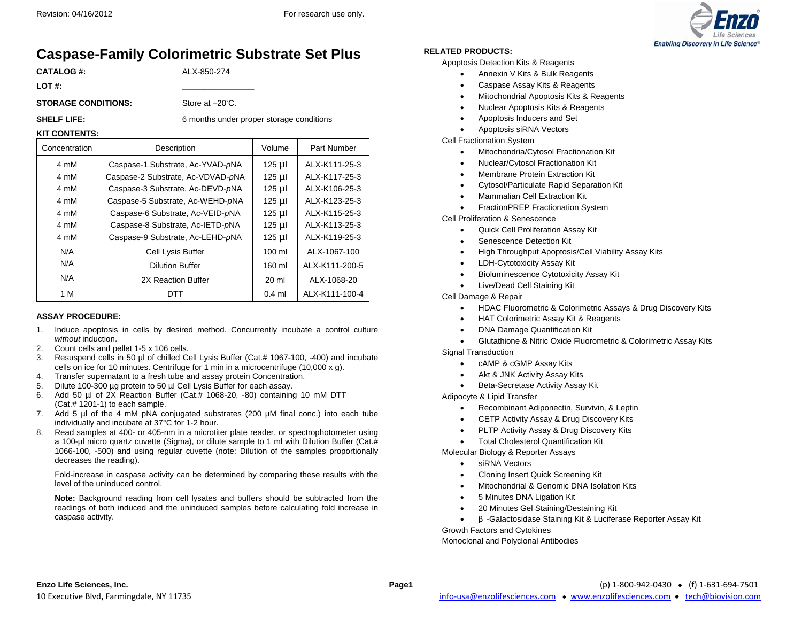

# **Caspase-Family Colorimetric Substrate Set Plus**

**CATALOG #:** ALX-850-274

**LOT #: \_\_\_\_\_\_\_\_\_\_\_\_\_\_\_\_** 

**STORAGE CONDITIONS:** Store at –20°C.

**SHELF LIFE:** 6 months under proper storage conditions

### **KIT CONTENTS:**

| Concentration | Description                       | Volume             | Part Number    |
|---------------|-----------------------------------|--------------------|----------------|
| 4 mM          | Caspase-1 Substrate, Ac-YVAD-pNA  | $125 \mu$          | ALX-K111-25-3  |
| 4 mM          | Caspase-2 Substrate, Ac-VDVAD-pNA | $125 \mu$          | ALX-K117-25-3  |
| 4 mM          | Caspase-3 Substrate, Ac-DEVD-pNA  | $125$ µ $\mid$     | ALX-K106-25-3  |
| 4 mM          | Caspase-5 Substrate, Ac-WEHD-pNA  | $125$ µ $\text{I}$ | ALX-K123-25-3  |
| 4 mM          | Caspase-6 Substrate, Ac-VEID-pNA  | $125$ µ $\text{I}$ | ALX-K115-25-3  |
| 4 mM          | Caspase-8 Substrate, Ac-IETD-pNA  | $125 \mu$          | ALX-K113-25-3  |
| 4 mM          | Caspase-9 Substrate, Ac-LEHD-pNA  | $125 \mu$          | ALX-K119-25-3  |
| N/A           | Cell Lysis Buffer                 | $100 \mathrm{m}$   | ALX-1067-100   |
| N/A           | <b>Dilution Buffer</b>            | 160 ml             | ALX-K111-200-5 |
| N/A           | 2X Reaction Buffer                | $20 \mathrm{m}$    | ALX-1068-20    |
| 1 M           | DTT                               | $0.4$ ml           | ALX-K111-100-4 |

#### **ASSAY PROCEDURE:**

- 1. Induce apoptosis in cells by desired method. Concurrently incubate a control culture *without* induction.
- 2. Count cells and pellet 1-5 x 106 cells.
- 3. Resuspend cells in 50 µl of chilled Cell Lysis Buffer (Cat.# 1067-100, -400) and incubate cells on ice for 10 minutes. Centrifuge for 1 min in a microcentrifuge (10,000 x g).
- 4. Transfer supernatant to a fresh tube and assay protein Concentration.
- 5. Dilute 100-300 µg protein to 50 µl Cell Lysis Buffer for each assay.
- 6. Add 50 µl of 2X Reaction Buffer (Cat.# 1068-20, -80) containing 10 mM DTT (Cat.# 1201-1) to each sample.
- 7. Add 5 µl of the 4 mM pNA conjugated substrates (200 µM final conc.) into each tube individually and incubate at 37°C for 1-2 hour.
- 8. Read samples at 400- or 405-nm in a microtiter plate reader, or spectrophotometer using a 100-µl micro quartz cuvette (Sigma), or dilute sample to 1 ml with Dilution Buffer (Cat.# 1066-100, -500) and using regular cuvette (note: Dilution of the samples proportionally decreases the reading).

Fold-increase in caspase activity can be determined by comparing these results with the level of the uninduced control.

**Note:** Background reading from cell lysates and buffers should be subtracted from the readings of both induced and the uninduced samples before calculating fold increase in caspase activity.

#### **RELATED PRODUCTS:**

Apoptosis Detection Kits & Reagents

- Annexin V Kits & Bulk Reagents
- Caspase Assay Kits & Reagents
- Mitochondrial Apoptosis Kits & Reagents
- Nuclear Apoptosis Kits & Reagents
- Apoptosis Inducers and Set
- Apoptosis siRNA Vectors

Cell Fractionation System

- Mitochondria/Cytosol Fractionation Kit
- Nuclear/Cytosol Fractionation Kit
- Membrane Protein Extraction Kit
- Cytosol/Particulate Rapid Separation Kit
- Mammalian Cell Extraction Kit
- FractionPREP Fractionation System

Cell Proliferation & Senescence

- Quick Cell Proliferation Assay Kit
- Senescence Detection Kit
- High Throughput Apoptosis/Cell Viability Assay Kits
- LDH-Cytotoxicity Assay Kit
- Bioluminescence Cytotoxicity Assay Kit
- Live/Dead Cell Staining Kit

Cell Damage & Repair

- HDAC Fluorometric & Colorimetric Assays & Drug Discovery Kits
- HAT Colorimetric Assay Kit & Reagents
- DNA Damage Quantification Kit
- Glutathione & Nitric Oxide Fluorometric & Colorimetric Assay Kits

Signal Transduction

- cAMP & cGMP Assay Kits
- Akt & JNK Activity Assay Kits
- **•** Beta-Secretase Activity Assay Kit

Adipocyte & Lipid Transfer

- Recombinant Adiponectin, Survivin, & Leptin
- CETP Activity Assay & Drug Discovery Kits
- PLTP Activity Assay & Drug Discovery Kits
- **•** Total Cholesterol Quantification Kit

Molecular Biology & Reporter Assays

- siRNA Vectors
- Cloning Insert Quick Screening Kit
- Mitochondrial & Genomic DNA Isolation Kits
- 5 Minutes DNA Ligation Kit
- 20 Minutes Gel Staining/Destaining Kit
- $\bullet$ β -Galactosidase Staining Kit & Luciferase Reporter Assay Kit

Growth Factors and Cytokines Monoclonal and Polyclonal Antibodies